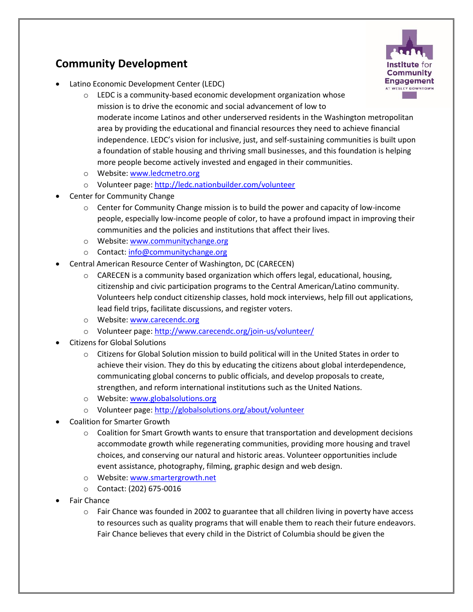## **Community Development**



- Latino Economic Development Center (LEDC)
	- o LEDC is a community-based economic development organization whose mission is to drive the economic and social advancement of low to moderate income Latinos and other underserved residents in the Washington metropolitan area by providing the educational and financial resources they need to achieve financial independence. LEDC's vision for inclusive, just, and self-sustaining communities is built upon a foundation of stable housing and thriving small businesses, and this foundation is helping more people become actively invested and engaged in their communities.
	- o Website[: www.ledcmetro.org](http://www.ledcmetro.org/)
	- o Volunteer page:<http://ledc.nationbuilder.com/volunteer>
- Center for Community Change
	- o Center for Community Change mission is to build the power and capacity of low-income people, especially low-income people of color, to have a profound impact in improving their communities and the policies and institutions that affect their lives.
	- o Website[: www.communitychange.org](http://www.communitychange.org/)
	- o Contact: [info@communitychange.org](mailto:info@communitychange.org)
- Central American Resource Center of Washington, DC (CARECEN)
	- $\circ$  CARECEN is a community based organization which offers legal, educational, housing, citizenship and civic participation programs to the Central American/Latino community. Volunteers help conduct citizenship classes, hold mock interviews, help fill out applications, lead field trips, facilitate discussions, and register voters.
	- o Website[: www.carecendc.org](http://www.carecendc.org/)
	- o Volunteer page:<http://www.carecendc.org/join-us/volunteer/>
- Citizens for Global Solutions
	- $\circ$  Citizens for Global Solution mission to build political will in the United States in order to achieve their vision. They do this by educating the citizens about global interdependence, communicating global concerns to public officials, and develop proposals to create, strengthen, and reform international institutions such as the United Nations.
	- o Website[: www.globalsolutions.org](http://www.globalsolutions.org/)
	- o Volunteer page:<http://globalsolutions.org/about/volunteer>
- Coalition for Smarter Growth
	- $\circ$  Coalition for Smart Growth wants to ensure that transportation and development decisions accommodate growth while regenerating communities, providing more housing and travel choices, and conserving our natural and historic areas. Volunteer opportunities include event assistance, photography, filming, graphic design and web design.
	- o Website[: www.smartergrowth.net](http://www.smartergrowth.net/)
	- o Contact: (202) 675-0016
- Fair Chance
	- $\circ$  Fair Chance was founded in 2002 to guarantee that all children living in poverty have access to resources such as quality programs that will enable them to reach their future endeavors. Fair Chance believes that every child in the District of Columbia should be given the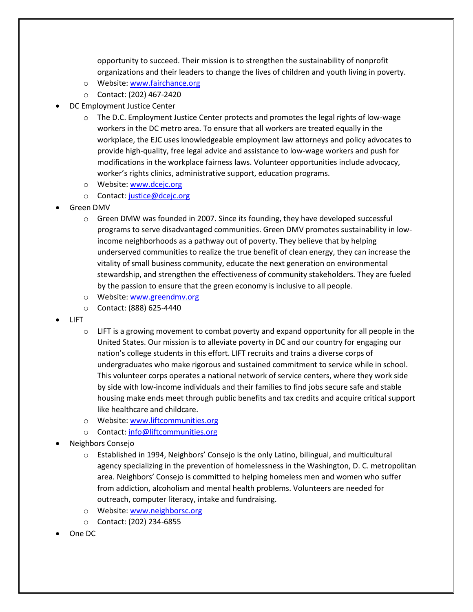opportunity to succeed. Their mission is to strengthen the sustainability of nonprofit organizations and their leaders to change the lives of children and youth living in poverty.

- o Website[: www.fairchance.org](http://www.fairchance.org/)
- o Contact: (202) 467-2420
- DC Employment Justice Center
	- $\circ$  The D.C. Employment Justice Center protects and promotes the legal rights of low-wage workers in the DC metro area. To ensure that all workers are treated equally in the workplace, the EJC uses knowledgeable employment law attorneys and policy advocates to provide high-quality, free legal advice and assistance to low-wage workers and push for modifications in the workplace fairness laws. Volunteer opportunities include advocacy, worker's rights clinics, administrative support, education programs.
	- o Website[: www.dcejc.org](http://www.dcejc.org/)
	- o Contact: [justice@dcejc.org](mailto:justice@dcejc.org)
- Green DMV
	- o Green DMW was founded in 2007. Since its founding, they have developed successful programs to serve disadvantaged communities. Green DMV promotes sustainability in lowincome neighborhoods as a pathway out of poverty. They believe that by helping underserved communities to realize the true benefit of clean energy, they can increase the vitality of small business community, educate the next generation on environmental stewardship, and strengthen the effectiveness of community stakeholders. They are fueled by the passion to ensure that the green economy is inclusive to all people.
	- o Website[: www.greendmv.org](http://www.greendmv.org/)
	- o Contact: (888) 625-4440
- LIFT
	- $\circ$  LIFT is a growing movement to combat poverty and expand opportunity for all people in the United States. Our mission is to alleviate poverty in DC and our country for engaging our nation's college students in this effort. LIFT recruits and trains a diverse corps of undergraduates who make rigorous and sustained commitment to service while in school. This volunteer corps operates a national network of service centers, where they work side by side with low-income individuals and their families to find jobs secure safe and stable housing make ends meet through public benefits and tax credits and acquire critical support like healthcare and childcare.
	- o Website[: www.liftcommunities.org](http://www.liftcommunities.org/)
	- o Contact: [info@liftcommunities.org](mailto:info@liftcommunities.org)
- Neighbors Consejo
	- o Established in 1994, Neighbors' Consejo is the only Latino, bilingual, and multicultural agency specializing in the prevention of homelessness in the Washington, D. C. metropolitan area. Neighbors' Consejo is committed to helping homeless men and women who suffer from addiction, alcoholism and mental health problems. Volunteers are needed for outreach, computer literacy, intake and fundraising.
	- o Website[: www.neighborsc.org](http://www.neighborsc.org/)
	- o Contact: (202) 234-6855
- One DC